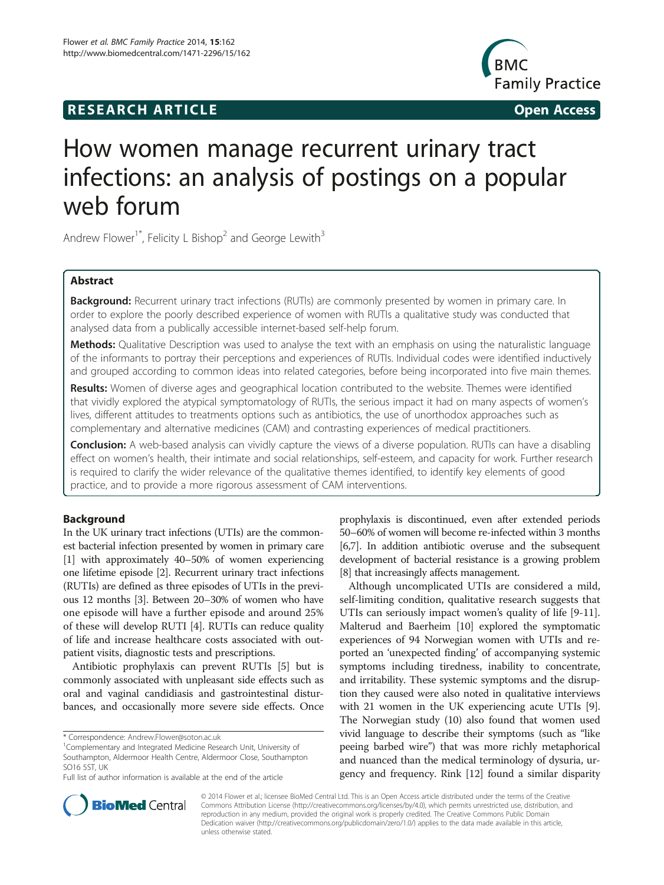## **RESEARCH ARTICLE Example 2014 CONSIDERING CONSIDERING CONSIDERING CONSIDERING CONSIDERING CONSIDERING CONSIDERING CONSIDERING CONSIDERING CONSIDERING CONSIDERING CONSIDERING CONSIDERING CONSIDERING CONSIDERING CONSIDE**



# How women manage recurrent urinary tract infections: an analysis of postings on a popular web forum

Andrew Flower<sup>1\*</sup>, Felicity L Bishop<sup>2</sup> and George Lewith<sup>3</sup>

## Abstract

Background: Recurrent urinary tract infections (RUTIs) are commonly presented by women in primary care. In order to explore the poorly described experience of women with RUTIs a qualitative study was conducted that analysed data from a publically accessible internet-based self-help forum.

Methods: Qualitative Description was used to analyse the text with an emphasis on using the naturalistic language of the informants to portray their perceptions and experiences of RUTIs. Individual codes were identified inductively and grouped according to common ideas into related categories, before being incorporated into five main themes.

Results: Women of diverse ages and geographical location contributed to the website. Themes were identified that vividly explored the atypical symptomatology of RUTIs, the serious impact it had on many aspects of women's lives, different attitudes to treatments options such as antibiotics, the use of unorthodox approaches such as complementary and alternative medicines (CAM) and contrasting experiences of medical practitioners.

**Conclusion:** A web-based analysis can vividly capture the views of a diverse population. RUTIs can have a disabling effect on women's health, their intimate and social relationships, self-esteem, and capacity for work. Further research is required to clarify the wider relevance of the qualitative themes identified, to identify key elements of good practice, and to provide a more rigorous assessment of CAM interventions.

## Background

In the UK urinary tract infections (UTIs) are the commonest bacterial infection presented by women in primary care [[1](#page-6-0)] with approximately 40–50% of women experiencing one lifetime episode [\[2](#page-6-0)]. Recurrent urinary tract infections (RUTIs) are defined as three episodes of UTIs in the previous 12 months [\[3](#page-6-0)]. Between 20–30% of women who have one episode will have a further episode and around 25% of these will develop RUTI [[4](#page-6-0)]. RUTIs can reduce quality of life and increase healthcare costs associated with outpatient visits, diagnostic tests and prescriptions.

Antibiotic prophylaxis can prevent RUTIs [\[5](#page-6-0)] but is commonly associated with unpleasant side effects such as oral and vaginal candidiasis and gastrointestinal disturbances, and occasionally more severe side effects. Once

\* Correspondence: [Andrew.Flower@soton.ac.uk](mailto:Andrew.Flower@soton.ac.uk) <sup>1</sup>

prophylaxis is discontinued, even after extended periods 50–60% of women will become re-infected within 3 months [[6,7](#page-6-0)]. In addition antibiotic overuse and the subsequent development of bacterial resistance is a growing problem [[8](#page-6-0)] that increasingly affects management.

Although uncomplicated UTIs are considered a mild, self-limiting condition, qualitative research suggests that UTIs can seriously impact women's quality of life [[9-11](#page-6-0)]. Malterud and Baerheim [\[10](#page-6-0)] explored the symptomatic experiences of 94 Norwegian women with UTIs and reported an 'unexpected finding' of accompanying systemic symptoms including tiredness, inability to concentrate, and irritability. These systemic symptoms and the disruption they caused were also noted in qualitative interviews with 21 women in the UK experiencing acute UTIs [[9](#page-6-0)]. The Norwegian study (10) also found that women used vivid language to describe their symptoms (such as "like peeing barbed wire") that was more richly metaphorical and nuanced than the medical terminology of dysuria, urgency and frequency. Rink [\[12\]](#page-6-0) found a similar disparity



© 2014 Flower et al.; licensee BioMed Central Ltd. This is an Open Access article distributed under the terms of the Creative Commons Attribution License [\(http://creativecommons.org/licenses/by/4.0\)](http://creativecommons.org/licenses/by/4.0), which permits unrestricted use, distribution, and reproduction in any medium, provided the original work is properly credited. The Creative Commons Public Domain Dedication waiver [\(http://creativecommons.org/publicdomain/zero/1.0/](http://creativecommons.org/publicdomain/zero/1.0/)) applies to the data made available in this article, unless otherwise stated.

Complementary and Integrated Medicine Research Unit, University of Southampton, Aldermoor Health Centre, Aldermoor Close, Southampton SO16 5ST, UK

Full list of author information is available at the end of the article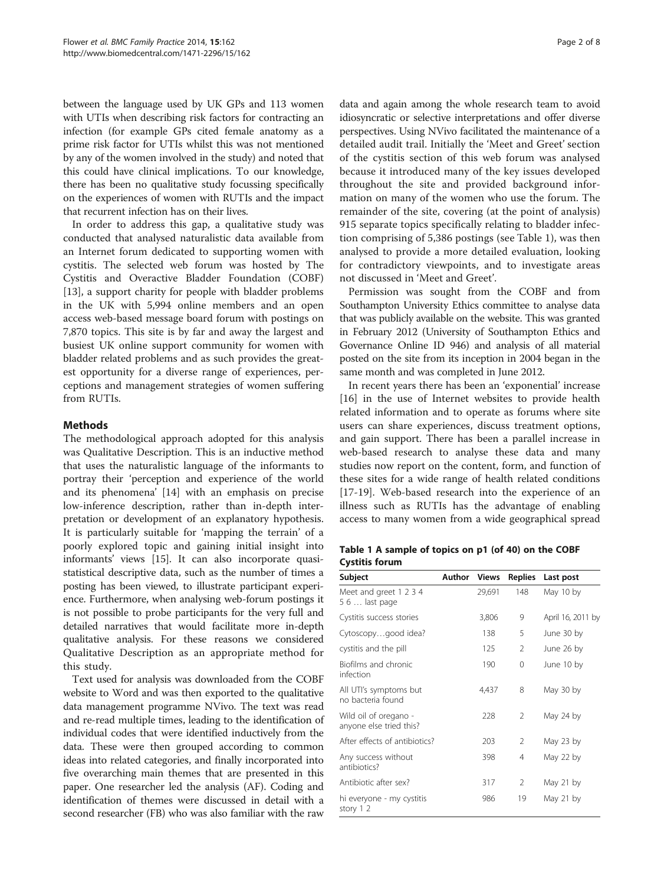between the language used by UK GPs and 113 women with UTIs when describing risk factors for contracting an infection (for example GPs cited female anatomy as a prime risk factor for UTIs whilst this was not mentioned by any of the women involved in the study) and noted that this could have clinical implications. To our knowledge, there has been no qualitative study focussing specifically on the experiences of women with RUTIs and the impact that recurrent infection has on their lives.

In order to address this gap, a qualitative study was conducted that analysed naturalistic data available from an Internet forum dedicated to supporting women with cystitis. The selected web forum was hosted by The Cystitis and Overactive Bladder Foundation (COBF) [[13\]](#page-6-0), a support charity for people with bladder problems in the UK with 5,994 online members and an open access web-based message board forum with postings on 7,870 topics. This site is by far and away the largest and busiest UK online support community for women with bladder related problems and as such provides the greatest opportunity for a diverse range of experiences, perceptions and management strategies of women suffering from RUTIs.

## Methods

The methodological approach adopted for this analysis was Qualitative Description. This is an inductive method that uses the naturalistic language of the informants to portray their 'perception and experience of the world and its phenomena' [[14](#page-6-0)] with an emphasis on precise low-inference description, rather than in-depth interpretation or development of an explanatory hypothesis. It is particularly suitable for 'mapping the terrain' of a poorly explored topic and gaining initial insight into informants' views [\[15\]](#page-7-0). It can also incorporate quasistatistical descriptive data, such as the number of times a posting has been viewed, to illustrate participant experience. Furthermore, when analysing web-forum postings it is not possible to probe participants for the very full and detailed narratives that would facilitate more in-depth qualitative analysis. For these reasons we considered Qualitative Description as an appropriate method for this study.

Text used for analysis was downloaded from the COBF website to Word and was then exported to the qualitative data management programme NVivo. The text was read and re-read multiple times, leading to the identification of individual codes that were identified inductively from the data. These were then grouped according to common ideas into related categories, and finally incorporated into five overarching main themes that are presented in this paper. One researcher led the analysis (AF). Coding and identification of themes were discussed in detail with a second researcher (FB) who was also familiar with the raw

data and again among the whole research team to avoid idiosyncratic or selective interpretations and offer diverse perspectives. Using NVivo facilitated the maintenance of a detailed audit trail. Initially the 'Meet and Greet' section of the cystitis section of this web forum was analysed because it introduced many of the key issues developed throughout the site and provided background information on many of the women who use the forum. The remainder of the site, covering (at the point of analysis) 915 separate topics specifically relating to bladder infection comprising of 5,386 postings (see Table 1), was then analysed to provide a more detailed evaluation, looking for contradictory viewpoints, and to investigate areas not discussed in 'Meet and Greet'.

Permission was sought from the COBF and from Southampton University Ethics committee to analyse data that was publicly available on the website. This was granted in February 2012 (University of Southampton Ethics and Governance Online ID 946) and analysis of all material posted on the site from its inception in 2004 began in the same month and was completed in June 2012.

In recent years there has been an 'exponential' increase [[16\]](#page-7-0) in the use of Internet websites to provide health related information and to operate as forums where site users can share experiences, discuss treatment options, and gain support. There has been a parallel increase in web-based research to analyse these data and many studies now report on the content, form, and function of these sites for a wide range of health related conditions [[17-19](#page-7-0)]. Web-based research into the experience of an illness such as RUTIs has the advantage of enabling access to many women from a wide geographical spread

Table 1 A sample of topics on p1 (of 40) on the COBF Cystitis forum

| Subject                                          | Author | <b>Views</b> | <b>Replies</b> | Last post         |
|--------------------------------------------------|--------|--------------|----------------|-------------------|
| Meet and greet 1 2 3 4<br>$56$ last page         |        | 29,691       | 148            | May 10 by         |
| Cystitis success stories                         |        | 3,806        | 9              | April 16, 2011 by |
| Cytoscopygood idea?                              |        | 138          | 5              | June 30 by        |
| cystitis and the pill                            |        | 125          | $\mathfrak{D}$ | June 26 by        |
| Biofilms and chronic<br>infection                |        | 190          | 0              | June 10 by        |
| All UTI's symptoms but<br>no bacteria found      |        | 4,437        | 8              | May 30 by         |
| Wild oil of oregano -<br>anyone else tried this? |        | 228          | $\mathfrak{D}$ | May 24 by         |
| After effects of antibiotics?                    |        | 203          | $\mathfrak{D}$ | May 23 by         |
| Any success without<br>antibiotics?              |        | 398          | 4              | May 22 by         |
| Antibiotic after sex?                            |        | 317          | $\mathfrak{D}$ | May 21 by         |
| hi everyone - my cystitis<br>story 1 2           |        | 986          | 19             | May 21 by         |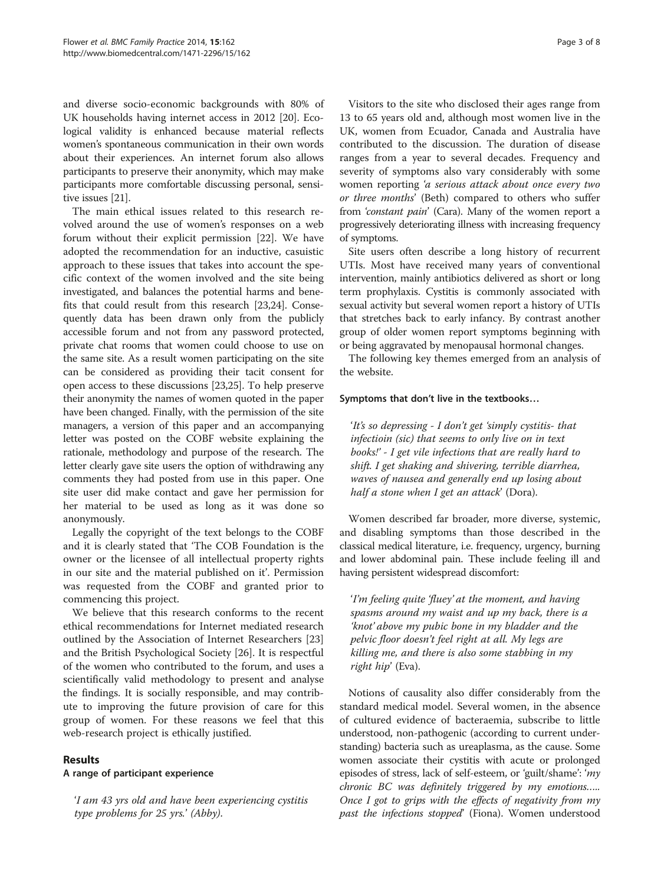and diverse socio-economic backgrounds with 80% of UK households having internet access in 2012 [[20](#page-7-0)]. Ecological validity is enhanced because material reflects women's spontaneous communication in their own words about their experiences. An internet forum also allows participants to preserve their anonymity, which may make participants more comfortable discussing personal, sensitive issues [\[21](#page-7-0)].

The main ethical issues related to this research revolved around the use of women's responses on a web forum without their explicit permission [\[22](#page-7-0)]. We have adopted the recommendation for an inductive, casuistic approach to these issues that takes into account the specific context of the women involved and the site being investigated, and balances the potential harms and benefits that could result from this research [\[23,24](#page-7-0)]. Consequently data has been drawn only from the publicly accessible forum and not from any password protected, private chat rooms that women could choose to use on the same site. As a result women participating on the site can be considered as providing their tacit consent for open access to these discussions [[23,25](#page-7-0)]. To help preserve their anonymity the names of women quoted in the paper have been changed. Finally, with the permission of the site managers, a version of this paper and an accompanying letter was posted on the COBF website explaining the rationale, methodology and purpose of the research. The letter clearly gave site users the option of withdrawing any comments they had posted from use in this paper. One site user did make contact and gave her permission for her material to be used as long as it was done so anonymously.

Legally the copyright of the text belongs to the COBF and it is clearly stated that 'The COB Foundation is the owner or the licensee of all intellectual property rights in our site and the material published on it'. Permission was requested from the COBF and granted prior to commencing this project.

We believe that this research conforms to the recent ethical recommendations for Internet mediated research outlined by the Association of Internet Researchers [[23](#page-7-0)] and the British Psychological Society [[26](#page-7-0)]. It is respectful of the women who contributed to the forum, and uses a scientifically valid methodology to present and analyse the findings. It is socially responsible, and may contribute to improving the future provision of care for this group of women. For these reasons we feel that this web-research project is ethically justified.

## Results

#### A range of participant experience

'I am 43 yrs old and have been experiencing cystitis type problems for 25 yrs.' (Abby).

Visitors to the site who disclosed their ages range from 13 to 65 years old and, although most women live in the UK, women from Ecuador, Canada and Australia have contributed to the discussion. The duration of disease ranges from a year to several decades. Frequency and severity of symptoms also vary considerably with some women reporting 'a serious attack about once every two or three months' (Beth) compared to others who suffer from 'constant pain' (Cara). Many of the women report a progressively deteriorating illness with increasing frequency of symptoms.

Site users often describe a long history of recurrent UTIs. Most have received many years of conventional intervention, mainly antibiotics delivered as short or long term prophylaxis. Cystitis is commonly associated with sexual activity but several women report a history of UTIs that stretches back to early infancy. By contrast another group of older women report symptoms beginning with or being aggravated by menopausal hormonal changes.

The following key themes emerged from an analysis of the website.

#### Symptoms that don't live in the textbooks…

'It's so depressing - I don't get 'simply cystitis- that infectioin (sic) that seems to only live on in text books!' - I get vile infections that are really hard to shift. I get shaking and shivering, terrible diarrhea, waves of nausea and generally end up losing about half a stone when I get an attack' (Dora).

Women described far broader, more diverse, systemic, and disabling symptoms than those described in the classical medical literature, i.e. frequency, urgency, burning and lower abdominal pain. These include feeling ill and having persistent widespread discomfort:

'I'm feeling quite 'fluey' at the moment, and having spasms around my waist and up my back, there is a 'knot' above my pubic bone in my bladder and the pelvic floor doesn't feel right at all. My legs are killing me, and there is also some stabbing in my right hip' (Eva).

Notions of causality also differ considerably from the standard medical model. Several women, in the absence of cultured evidence of bacteraemia, subscribe to little understood, non-pathogenic (according to current understanding) bacteria such as ureaplasma, as the cause. Some women associate their cystitis with acute or prolonged episodes of stress, lack of self-esteem, or 'guilt/shame': 'my chronic BC was definitely triggered by my emotions….. Once I got to grips with the effects of negativity from my past the infections stopped' (Fiona). Women understood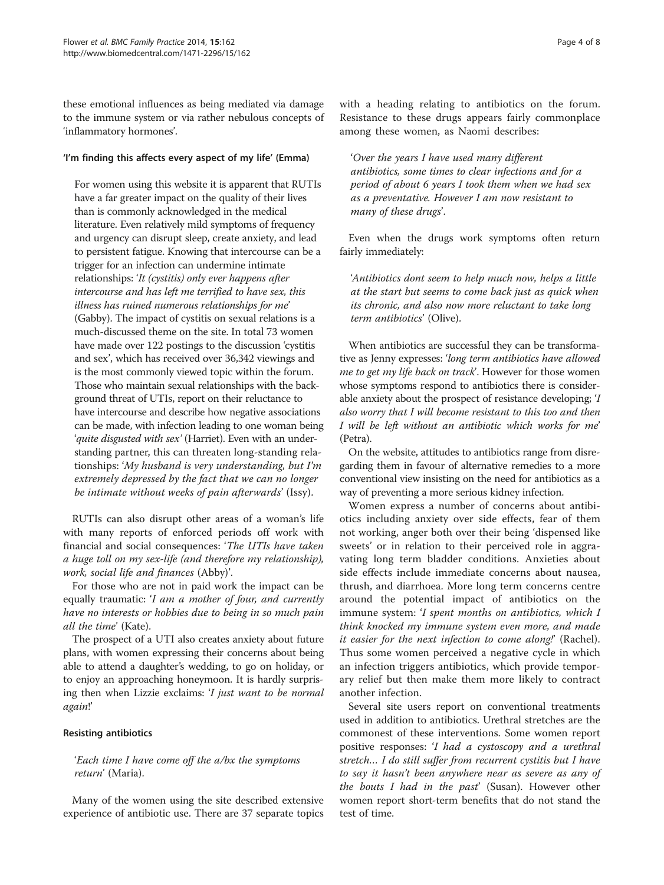these emotional influences as being mediated via damage to the immune system or via rather nebulous concepts of 'inflammatory hormones'.

#### 'I'm finding this affects every aspect of my life' (Emma)

For women using this website it is apparent that RUTIs have a far greater impact on the quality of their lives than is commonly acknowledged in the medical literature. Even relatively mild symptoms of frequency and urgency can disrupt sleep, create anxiety, and lead to persistent fatigue. Knowing that intercourse can be a trigger for an infection can undermine intimate relationships: 'It (cystitis) only ever happens after intercourse and has left me terrified to have sex, this illness has ruined numerous relationships for me' (Gabby). The impact of cystitis on sexual relations is a much-discussed theme on the site. In total 73 women have made over 122 postings to the discussion 'cystitis and sex', which has received over 36,342 viewings and is the most commonly viewed topic within the forum. Those who maintain sexual relationships with the background threat of UTIs, report on their reluctance to have intercourse and describe how negative associations can be made, with infection leading to one woman being 'quite disgusted with sex' (Harriet). Even with an understanding partner, this can threaten long-standing relationships: 'My husband is very understanding, but I'm extremely depressed by the fact that we can no longer be intimate without weeks of pain afterwards' (Issy).

RUTIs can also disrupt other areas of a woman's life with many reports of enforced periods off work with financial and social consequences: 'The UTIs have taken a huge toll on my sex-life (and therefore my relationship), work, social life and finances (Abby)'.

For those who are not in paid work the impact can be equally traumatic: 'I am a mother of four, and currently have no interests or hobbies due to being in so much pain all the time' (Kate).

The prospect of a UTI also creates anxiety about future plans, with women expressing their concerns about being able to attend a daughter's wedding, to go on holiday, or to enjoy an approaching honeymoon. It is hardly surprising then when Lizzie exclaims: 'I just want to be normal again!'

#### Resisting antibiotics

## 'Each time I have come off the a/bx the symptoms return' (Maria).

Many of the women using the site described extensive experience of antibiotic use. There are 37 separate topics

with a heading relating to antibiotics on the forum. Resistance to these drugs appears fairly commonplace among these women, as Naomi describes:

'Over the years I have used many different antibiotics, some times to clear infections and for a period of about 6 years I took them when we had sex as a preventative. However I am now resistant to many of these drugs'.

Even when the drugs work symptoms often return fairly immediately:

'Antibiotics dont seem to help much now, helps a little at the start but seems to come back just as quick when its chronic, and also now more reluctant to take long term antibiotics' (Olive).

When antibiotics are successful they can be transformative as Jenny expresses: 'long term antibiotics have allowed me to get my life back on track'. However for those women whose symptoms respond to antibiotics there is considerable anxiety about the prospect of resistance developing; 'I also worry that I will become resistant to this too and then I will be left without an antibiotic which works for me' (Petra).

On the website, attitudes to antibiotics range from disregarding them in favour of alternative remedies to a more conventional view insisting on the need for antibiotics as a way of preventing a more serious kidney infection.

Women express a number of concerns about antibiotics including anxiety over side effects, fear of them not working, anger both over their being 'dispensed like sweets' or in relation to their perceived role in aggravating long term bladder conditions. Anxieties about side effects include immediate concerns about nausea, thrush, and diarrhoea. More long term concerns centre around the potential impact of antibiotics on the immune system: 'I spent months on antibiotics, which I think knocked my immune system even more, and made it easier for the next infection to come along!' (Rachel). Thus some women perceived a negative cycle in which an infection triggers antibiotics, which provide temporary relief but then make them more likely to contract another infection.

Several site users report on conventional treatments used in addition to antibiotics. Urethral stretches are the commonest of these interventions. Some women report positive responses: 'I had a cystoscopy and a urethral stretch… I do still suffer from recurrent cystitis but I have to say it hasn't been anywhere near as severe as any of the bouts I had in the past' (Susan). However other women report short-term benefits that do not stand the test of time.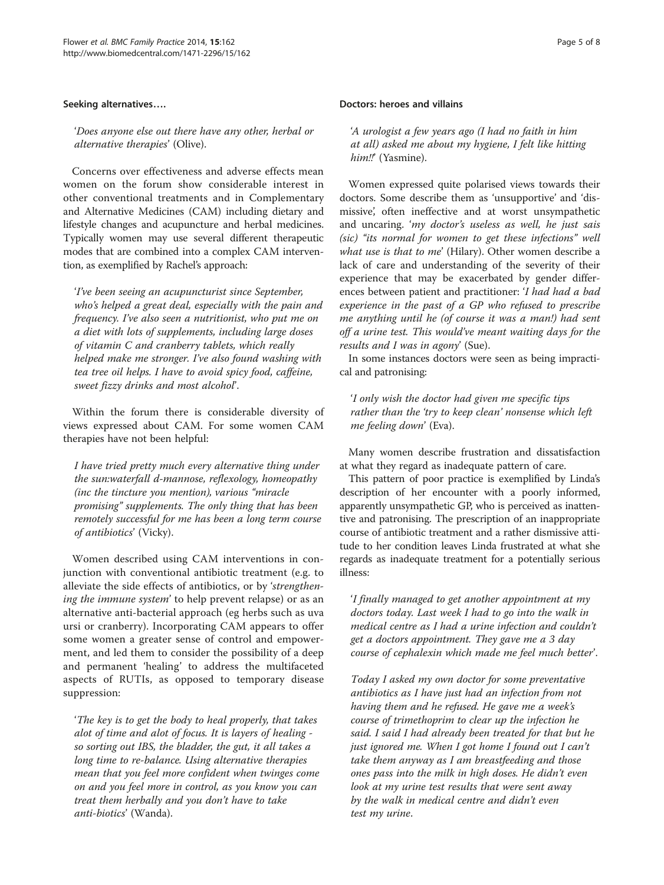#### Seeking alternatives….

'Does anyone else out there have any other, herbal or alternative therapies' (Olive).

Concerns over effectiveness and adverse effects mean women on the forum show considerable interest in other conventional treatments and in Complementary and Alternative Medicines (CAM) including dietary and lifestyle changes and acupuncture and herbal medicines. Typically women may use several different therapeutic modes that are combined into a complex CAM intervention, as exemplified by Rachel's approach:

'I've been seeing an acupuncturist since September, who's helped a great deal, especially with the pain and frequency. I've also seen a nutritionist, who put me on a diet with lots of supplements, including large doses of vitamin C and cranberry tablets, which really helped make me stronger. I've also found washing with tea tree oil helps. I have to avoid spicy food, caffeine, sweet fizzy drinks and most alcohol'.

Within the forum there is considerable diversity of views expressed about CAM. For some women CAM therapies have not been helpful:

I have tried pretty much every alternative thing under the sun:waterfall d-mannose, reflexology, homeopathy (inc the tincture you mention), various "miracle promising" supplements. The only thing that has been remotely successful for me has been a long term course of antibiotics' (Vicky).

Women described using CAM interventions in conjunction with conventional antibiotic treatment (e.g. to alleviate the side effects of antibiotics, or by 'strengthening the immune system' to help prevent relapse) or as an alternative anti-bacterial approach (eg herbs such as uva ursi or cranberry). Incorporating CAM appears to offer some women a greater sense of control and empowerment, and led them to consider the possibility of a deep and permanent 'healing' to address the multifaceted aspects of RUTIs, as opposed to temporary disease suppression:

'The key is to get the body to heal properly, that takes alot of time and alot of focus. It is layers of healing so sorting out IBS, the bladder, the gut, it all takes a long time to re-balance. Using alternative therapies mean that you feel more confident when twinges come on and you feel more in control, as you know you can treat them herbally and you don't have to take anti-biotics' (Wanda).

## Doctors: heroes and villains

'A urologist a few years ago (I had no faith in him at all) asked me about my hygiene, I felt like hitting him!!' (Yasmine).

Women expressed quite polarised views towards their doctors. Some describe them as 'unsupportive' and 'dismissive', often ineffective and at worst unsympathetic and uncaring. 'my doctor's useless as well, he just sais (sic) "its normal for women to get these infections" well what use is that to me' (Hilary). Other women describe a lack of care and understanding of the severity of their experience that may be exacerbated by gender differences between patient and practitioner: 'I had had a bad experience in the past of a GP who refused to prescribe me anything until he (of course it was a man!) had sent off a urine test. This would've meant waiting days for the results and I was in agony' (Sue).

In some instances doctors were seen as being impractical and patronising:

'I only wish the doctor had given me specific tips rather than the 'try to keep clean' nonsense which left me feeling down' (Eva).

Many women describe frustration and dissatisfaction at what they regard as inadequate pattern of care.

This pattern of poor practice is exemplified by Linda's description of her encounter with a poorly informed, apparently unsympathetic GP, who is perceived as inattentive and patronising. The prescription of an inappropriate course of antibiotic treatment and a rather dismissive attitude to her condition leaves Linda frustrated at what she regards as inadequate treatment for a potentially serious illness:

'I finally managed to get another appointment at my doctors today. Last week I had to go into the walk in medical centre as I had a urine infection and couldn't get a doctors appointment. They gave me a 3 day course of cephalexin which made me feel much better'.

Today I asked my own doctor for some preventative antibiotics as I have just had an infection from not having them and he refused. He gave me a week's course of trimethoprim to clear up the infection he said. I said I had already been treated for that but he just ignored me. When I got home I found out I can't take them anyway as I am breastfeeding and those ones pass into the milk in high doses. He didn't even look at my urine test results that were sent away by the walk in medical centre and didn't even test my urine.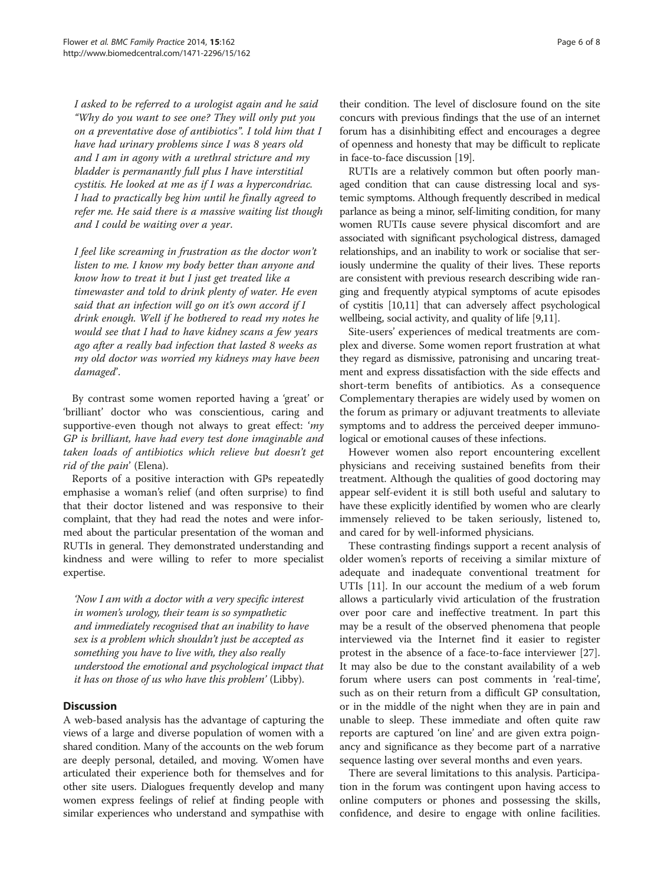I asked to be referred to a urologist again and he said "Why do you want to see one? They will only put you on a preventative dose of antibiotics". I told him that I have had urinary problems since I was 8 years old and I am in agony with a urethral stricture and my bladder is permanantly full plus I have interstitial cystitis. He looked at me as if I was a hypercondriac. I had to practically beg him until he finally agreed to refer me. He said there is a massive waiting list though and I could be waiting over a year.

I feel like screaming in frustration as the doctor won't listen to me. I know my body better than anyone and know how to treat it but I just get treated like a timewaster and told to drink plenty of water. He even said that an infection will go on it's own accord if I drink enough. Well if he bothered to read my notes he would see that I had to have kidney scans a few years ago after a really bad infection that lasted 8 weeks as my old doctor was worried my kidneys may have been damaged'.

By contrast some women reported having a 'great' or 'brilliant' doctor who was conscientious, caring and supportive-even though not always to great effect: 'my GP is brilliant, have had every test done imaginable and taken loads of antibiotics which relieve but doesn't get rid of the pain' (Elena).

Reports of a positive interaction with GPs repeatedly emphasise a woman's relief (and often surprise) to find that their doctor listened and was responsive to their complaint, that they had read the notes and were informed about the particular presentation of the woman and RUTIs in general. They demonstrated understanding and kindness and were willing to refer to more specialist expertise.

'Now I am with a doctor with a very specific interest in women's urology, their team is so sympathetic and immediately recognised that an inability to have sex is a problem which shouldn't just be accepted as something you have to live with, they also really understood the emotional and psychological impact that it has on those of us who have this problem' (Libby).

## **Discussion**

A web-based analysis has the advantage of capturing the views of a large and diverse population of women with a shared condition. Many of the accounts on the web forum are deeply personal, detailed, and moving. Women have articulated their experience both for themselves and for other site users. Dialogues frequently develop and many women express feelings of relief at finding people with similar experiences who understand and sympathise with

their condition. The level of disclosure found on the site concurs with previous findings that the use of an internet forum has a disinhibiting effect and encourages a degree of openness and honesty that may be difficult to replicate in face-to-face discussion [\[19\]](#page-7-0).

RUTIs are a relatively common but often poorly managed condition that can cause distressing local and systemic symptoms. Although frequently described in medical parlance as being a minor, self-limiting condition, for many women RUTIs cause severe physical discomfort and are associated with significant psychological distress, damaged relationships, and an inability to work or socialise that seriously undermine the quality of their lives. These reports are consistent with previous research describing wide ranging and frequently atypical symptoms of acute episodes of cystitis [\[10,11\]](#page-6-0) that can adversely affect psychological wellbeing, social activity, and quality of life [[9](#page-6-0),[11](#page-6-0)].

Site-users' experiences of medical treatments are complex and diverse. Some women report frustration at what they regard as dismissive, patronising and uncaring treatment and express dissatisfaction with the side effects and short-term benefits of antibiotics. As a consequence Complementary therapies are widely used by women on the forum as primary or adjuvant treatments to alleviate symptoms and to address the perceived deeper immunological or emotional causes of these infections.

However women also report encountering excellent physicians and receiving sustained benefits from their treatment. Although the qualities of good doctoring may appear self-evident it is still both useful and salutary to have these explicitly identified by women who are clearly immensely relieved to be taken seriously, listened to, and cared for by well-informed physicians.

These contrasting findings support a recent analysis of older women's reports of receiving a similar mixture of adequate and inadequate conventional treatment for UTIs [[11\]](#page-6-0). In our account the medium of a web forum allows a particularly vivid articulation of the frustration over poor care and ineffective treatment. In part this may be a result of the observed phenomena that people interviewed via the Internet find it easier to register protest in the absence of a face-to-face interviewer [\[27](#page-7-0)]. It may also be due to the constant availability of a web forum where users can post comments in 'real-time', such as on their return from a difficult GP consultation, or in the middle of the night when they are in pain and unable to sleep. These immediate and often quite raw reports are captured 'on line' and are given extra poignancy and significance as they become part of a narrative sequence lasting over several months and even years.

There are several limitations to this analysis. Participation in the forum was contingent upon having access to online computers or phones and possessing the skills, confidence, and desire to engage with online facilities.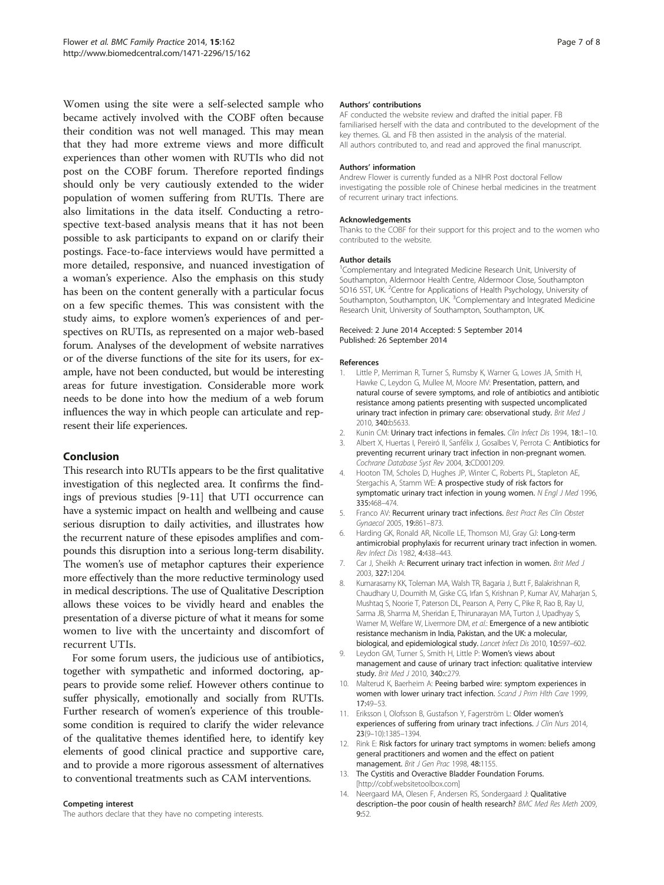<span id="page-6-0"></span>Women using the site were a self-selected sample who became actively involved with the COBF often because their condition was not well managed. This may mean that they had more extreme views and more difficult experiences than other women with RUTIs who did not post on the COBF forum. Therefore reported findings should only be very cautiously extended to the wider population of women suffering from RUTIs. There are also limitations in the data itself. Conducting a retrospective text-based analysis means that it has not been possible to ask participants to expand on or clarify their postings. Face-to-face interviews would have permitted a more detailed, responsive, and nuanced investigation of a woman's experience. Also the emphasis on this study has been on the content generally with a particular focus on a few specific themes. This was consistent with the study aims, to explore women's experiences of and perspectives on RUTIs, as represented on a major web-based forum. Analyses of the development of website narratives or of the diverse functions of the site for its users, for example, have not been conducted, but would be interesting areas for future investigation. Considerable more work needs to be done into how the medium of a web forum influences the way in which people can articulate and represent their life experiences.

## Conclusion

This research into RUTIs appears to be the first qualitative investigation of this neglected area. It confirms the findings of previous studies [9-11] that UTI occurrence can have a systemic impact on health and wellbeing and cause serious disruption to daily activities, and illustrates how the recurrent nature of these episodes amplifies and compounds this disruption into a serious long-term disability. The women's use of metaphor captures their experience more effectively than the more reductive terminology used in medical descriptions. The use of Qualitative Description allows these voices to be vividly heard and enables the presentation of a diverse picture of what it means for some women to live with the uncertainty and discomfort of recurrent UTIs.

For some forum users, the judicious use of antibiotics, together with sympathetic and informed doctoring, appears to provide some relief. However others continue to suffer physically, emotionally and socially from RUTIs. Further research of women's experience of this troublesome condition is required to clarify the wider relevance of the qualitative themes identified here, to identify key elements of good clinical practice and supportive care, and to provide a more rigorous assessment of alternatives to conventional treatments such as CAM interventions.

#### Competing interest

The authors declare that they have no competing interests.

#### Authors' contributions

AF conducted the website review and drafted the initial paper. FB familiarised herself with the data and contributed to the development of the key themes. GL and FB then assisted in the analysis of the material. All authors contributed to, and read and approved the final manuscript.

#### Authors' information

Andrew Flower is currently funded as a NIHR Post doctoral Fellow investigating the possible role of Chinese herbal medicines in the treatment of recurrent urinary tract infections.

#### Acknowledgements

Thanks to the COBF for their support for this project and to the women who contributed to the website.

#### Author details

<sup>1</sup> Complementary and Integrated Medicine Research Unit, University of Southampton, Aldermoor Health Centre, Aldermoor Close, Southampton SO16 5ST, UK. <sup>2</sup>Centre for Applications of Health Psychology, University of Southampton, Southampton, UK.<sup>3</sup> Complementary and Integrated Medicine Research Unit, University of Southampton, Southampton, UK.

#### Received: 2 June 2014 Accepted: 5 September 2014 Published: 26 September 2014

#### References

- 1. Little P, Merriman R, Turner S, Rumsby K, Warner G, Lowes JA, Smith H, Hawke C, Leydon G, Mullee M, Moore MV: Presentation, pattern, and natural course of severe symptoms, and role of antibiotics and antibiotic resistance among patients presenting with suspected uncomplicated urinary tract infection in primary care: observational study. Brit Med J 2010, 340:b5633.
- 2. Kunin CM: Urinary tract infections in females. Clin Infect Dis 1994, 18:1-10.
- 3. Albert X, Huertas I, Pereiró II, Sanfélix J, Gosalbes V, Perrota C: Antibiotics for preventing recurrent urinary tract infection in non-pregnant women. Cochrane Database Syst Rev 2004, 3:CD001209.
- 4. Hooton TM, Scholes D, Hughes JP, Winter C, Roberts PL, Stapleton AE, Stergachis A, Stamm WE: A prospective study of risk factors for symptomatic urinary tract infection in young women. N Engl J Med 1996, 335:468–474.
- Franco AV: Recurrent urinary tract infections. Best Pract Res Clin Obstet Gynaecol 2005, 19:861–873.
- 6. Harding GK, Ronald AR, Nicolle LE, Thomson MJ, Gray GJ: Long-term antimicrobial prophylaxis for recurrent urinary tract infection in women. Rev Infect Dis 1982, 4:438–443.
- 7. Car J, Sheikh A: Recurrent urinary tract infection in women. Brit Med J 2003, 327:1204.
- 8. Kumarasamy KK, Toleman MA, Walsh TR, Bagaria J, Butt F, Balakrishnan R, Chaudhary U, Doumith M, Giske CG, Irfan S, Krishnan P, Kumar AV, Maharjan S, Mushtaq S, Noorie T, Paterson DL, Pearson A, Perry C, Pike R, Rao B, Ray U, Sarma JB, Sharma M, Sheridan E, Thirunarayan MA, Turton J, Upadhyay S, Warner M, Welfare W, Livermore DM, et al.: Emergence of a new antibiotic resistance mechanism in India, Pakistan, and the UK: a molecular, biological, and epidemiological study. Lancet Infect Dis 2010, 10:597–602.
- 9. Leydon GM, Turner S, Smith H, Little P: Women's views about management and cause of urinary tract infection: qualitative interview study. Brit Med J 2010, 340:c279.
- 10. Malterud K, Baerheim A: Peeing barbed wire: symptom experiences in women with lower urinary tract infection. Scand J Prim Hlth Care 1999, 17:49–53.
- 11. Eriksson I, Olofsson B, Gustafson Y, Fagerström L: Older women's experiences of suffering from urinary tract infections. J Clin Nurs 2014, 23(9–10):1385–1394.
- 12. Rink E: Risk factors for urinary tract symptoms in women: beliefs among general practitioners and women and the effect on patient management. Brit J Gen Prac 1998, 48:1155.
- 13. The Cystitis and Overactive Bladder Foundation Forums. [<http://cobf.websitetoolbox.com>]
- 14. Neergaard MA, Olesen F, Andersen RS, Sondergaard J: Qualitative description–the poor cousin of health research? BMC Med Res Meth 2009, 9:52.